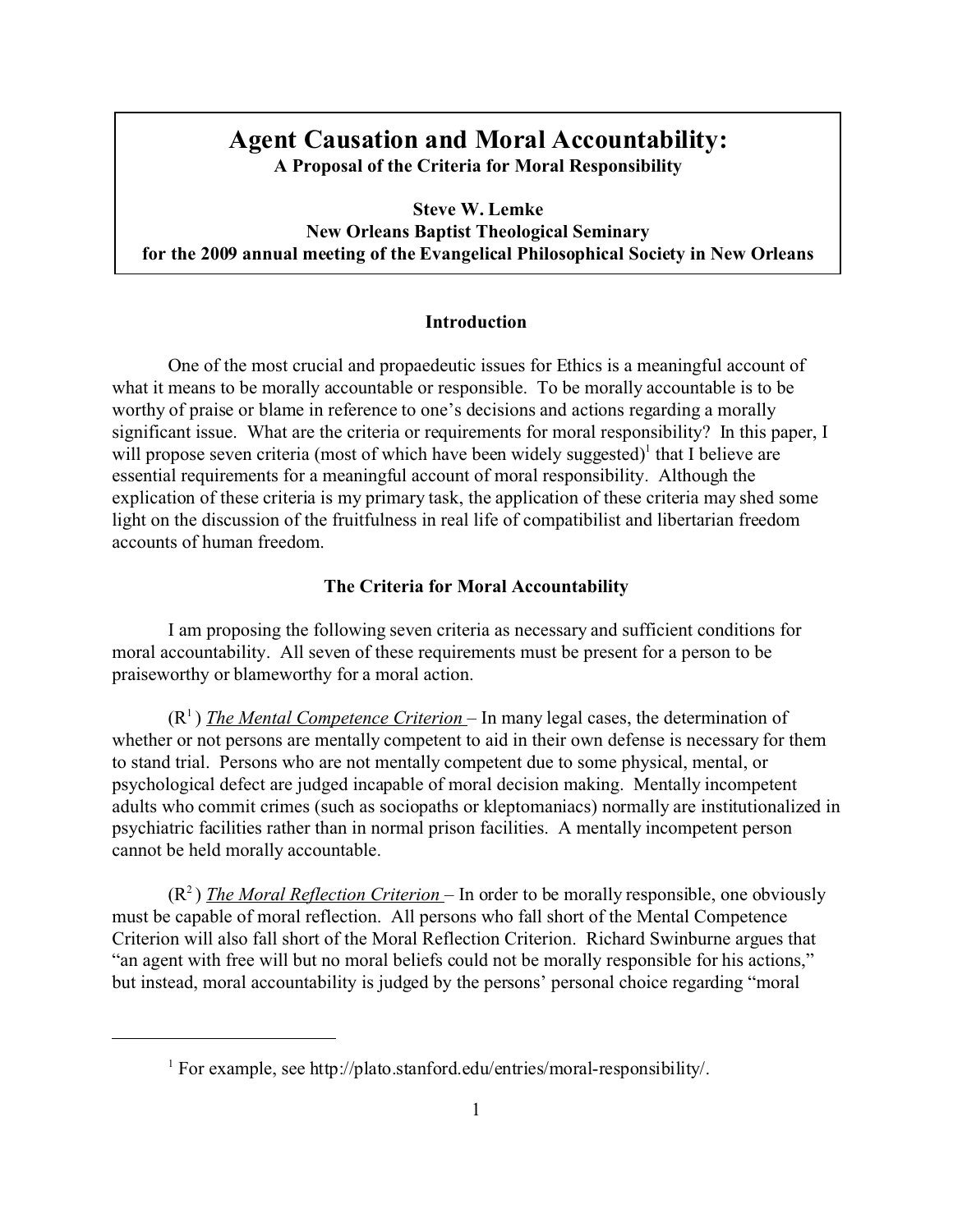## **Agent Causation and Moral Accountability: A Proposal of the Criteria for Moral Responsibility**

**Steve W. Lemke New Orleans Baptist Theological Seminary for the 2009 annual meeting of the Evangelical Philosophical Society in New Orleans**

## **Introduction**

One of the most crucial and propaedeutic issues for Ethics is a meaningful account of what it means to be morally accountable or responsible. To be morally accountable is to be worthy of praise or blame in reference to one's decisions and actions regarding a morally significant issue. What are the criteria or requirements for moral responsibility? In this paper, I will propose seven criteria (most of which have been widely suggested)<sup>1</sup> that I believe are essential requirements for a meaningful account of moral responsibility. Although the explication of these criteria is my primary task, the application of these criteria may shed some light on the discussion of the fruitfulness in real life of compatibilist and libertarian freedom accounts of human freedom.

## **The Criteria for Moral Accountability**

I am proposing the following seven criteria as necessary and sufficient conditions for moral accountability. All seven of these requirements must be present for a person to be praiseworthy or blameworthy for a moral action.

 $(R<sup>1</sup>)$  *The Mental Competence Criterion* – In many legal cases, the determination of whether or not persons are mentally competent to aid in their own defense is necessary for them to stand trial. Persons who are not mentally competent due to some physical, mental, or psychological defect are judged incapable of moral decision making. Mentally incompetent adults who commit crimes (such as sociopaths or kleptomaniacs) normally are institutionalized in psychiatric facilities rather than in normal prison facilities. A mentally incompetent person cannot be held morally accountable.

(R<sup>2</sup>) *The Moral Reflection Criterion* – In order to be morally responsible, one obviously must be capable of moral reflection. All persons who fall short of the Mental Competence Criterion will also fall short of the Moral Reflection Criterion. Richard Swinburne argues that "an agent with free will but no moral beliefs could not be morally responsible for his actions," but instead, moral accountability is judged by the persons' personal choice regarding "moral

<sup>&</sup>lt;sup>1</sup> For example, see http://plato.stanford.edu/entries/moral-responsibility/.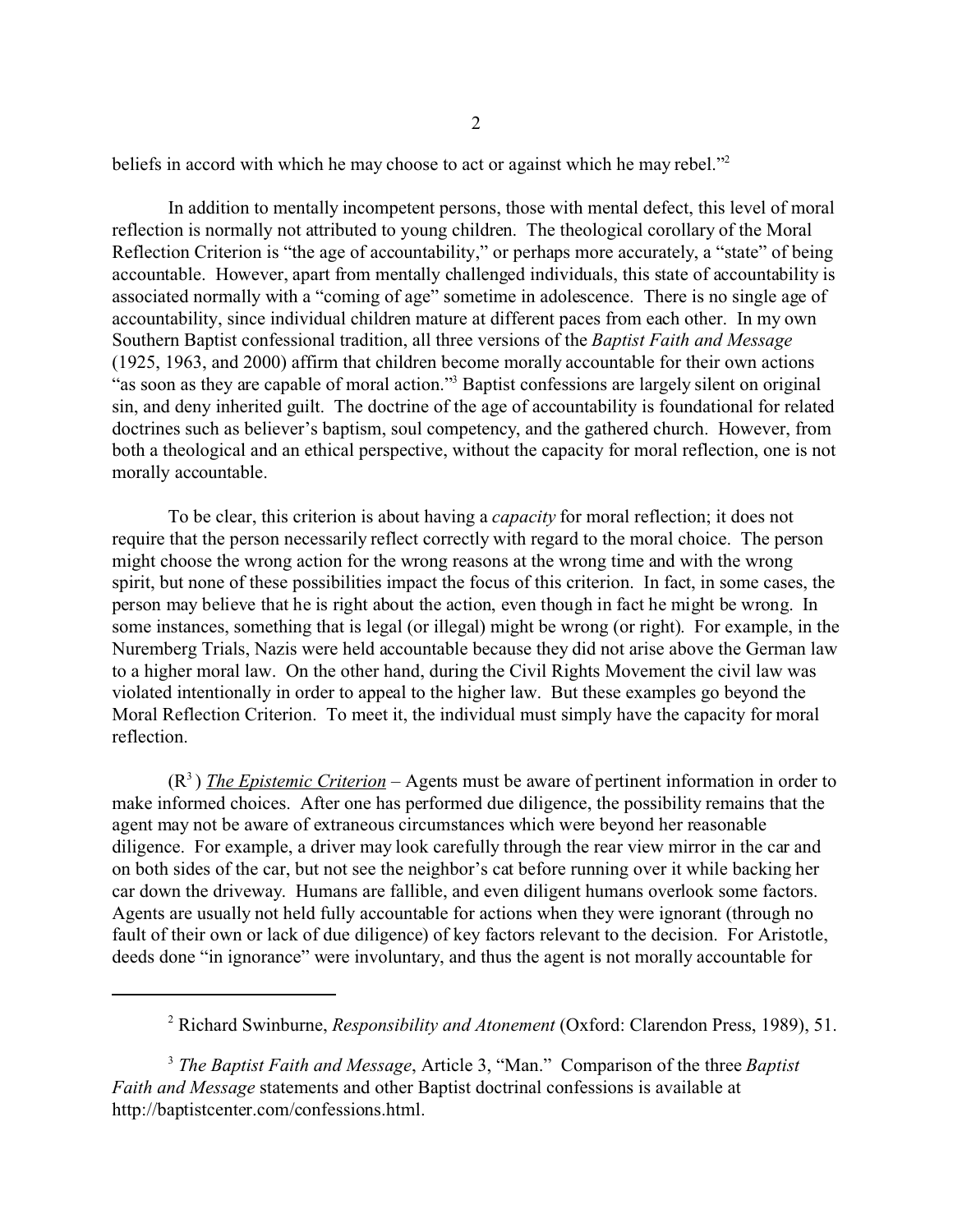beliefs in accord with which he may choose to act or against which he may rebel."<sup>2</sup>

In addition to mentally incompetent persons, those with mental defect, this level of moral reflection is normally not attributed to young children. The theological corollary of the Moral Reflection Criterion is "the age of accountability," or perhaps more accurately, a "state" of being accountable. However, apart from mentally challenged individuals, this state of accountability is associated normally with a "coming of age" sometime in adolescence. There is no single age of accountability, since individual children mature at different paces from each other. In my own Southern Baptist confessional tradition, all three versions of the *Baptist Faith and Message* (1925, 1963, and 2000) affirm that children become morally accountable for their own actions "as soon as they are capable of moral action."<sup>3</sup> Baptist confessions are largely silent on original sin, and deny inherited guilt. The doctrine of the age of accountability is foundational for related doctrines such as believer's baptism, soul competency, and the gathered church. However, from both a theological and an ethical perspective, without the capacity for moral reflection, one is not morally accountable.

To be clear, this criterion is about having a *capacity* for moral reflection; it does not require that the person necessarily reflect correctly with regard to the moral choice. The person might choose the wrong action for the wrong reasons at the wrong time and with the wrong spirit, but none of these possibilities impact the focus of this criterion. In fact, in some cases, the person may believe that he is right about the action, even though in fact he might be wrong. In some instances, something that is legal (or illegal) might be wrong (or right). For example, in the Nuremberg Trials, Nazis were held accountable because they did not arise above the German law to a higher moral law. On the other hand, during the Civil Rights Movement the civil law was violated intentionally in order to appeal to the higher law. But these examples go beyond the Moral Reflection Criterion. To meet it, the individual must simply have the capacity for moral reflection.

(R<sup>3</sup>) *The Epistemic Criterion* – Agents must be aware of pertinent information in order to make informed choices. After one has performed due diligence, the possibility remains that the agent may not be aware of extraneous circumstances which were beyond her reasonable diligence. For example, a driver may look carefully through the rear view mirror in the car and on both sides of the car, but not see the neighbor's cat before running over it while backing her car down the driveway. Humans are fallible, and even diligent humans overlook some factors. Agents are usually not held fully accountable for actions when they were ignorant (through no fault of their own or lack of due diligence) of key factors relevant to the decision. For Aristotle, deeds done "in ignorance" were involuntary, and thus the agent is not morally accountable for

<sup>2</sup> Richard Swinburne, *Responsibility and Atonement* (Oxford: Clarendon Press, 1989), 51.

<sup>3</sup> *The Baptist Faith and Message*, Article 3, "Man." Comparison of the three *Baptist Faith and Message* statements and other Baptist doctrinal confessions is available at http://baptistcenter.com/confessions.html.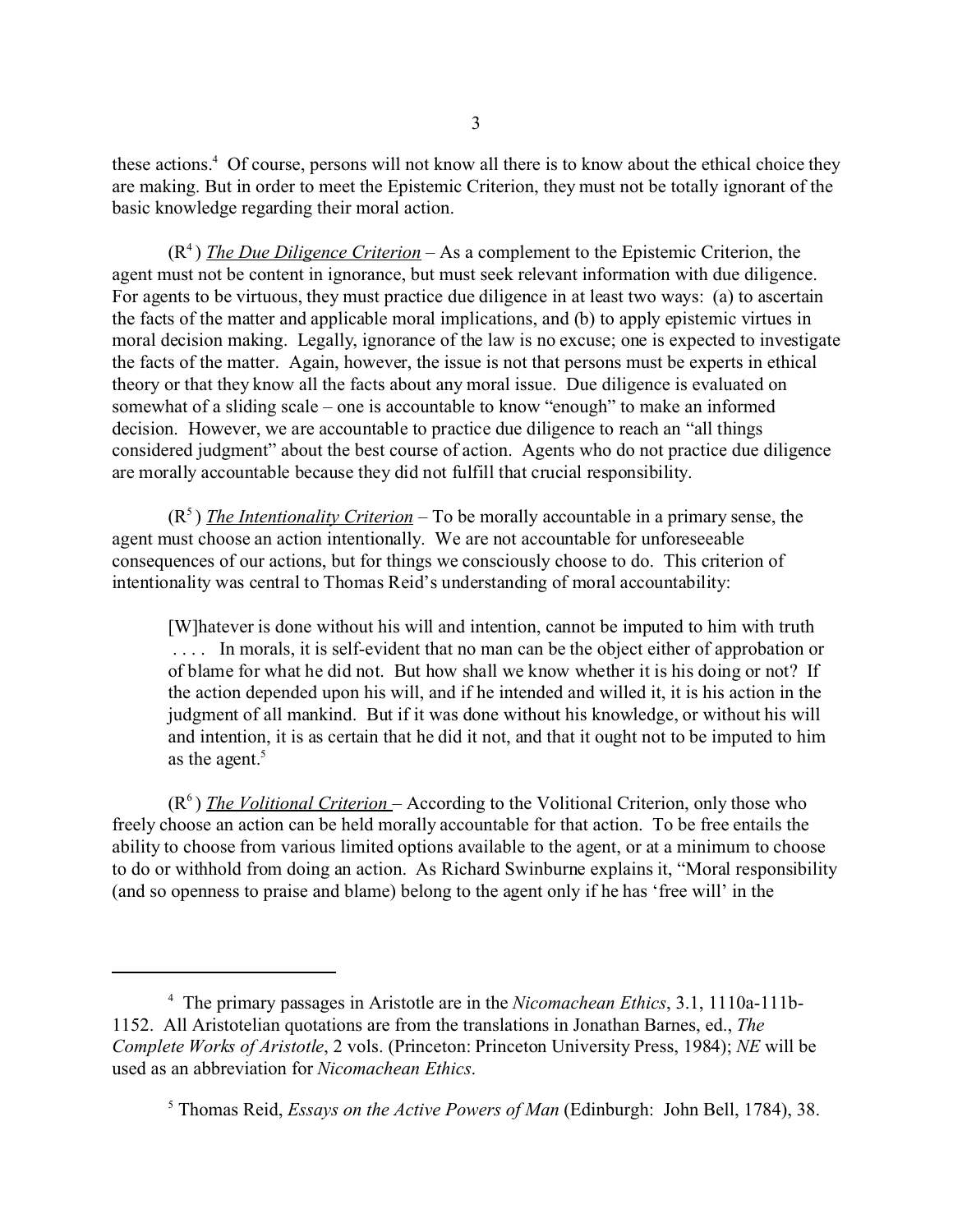these actions.<sup>4</sup> Of course, persons will not know all there is to know about the ethical choice they are making. But in order to meet the Epistemic Criterion, they must not be totally ignorant of the basic knowledge regarding their moral action.

(R<sup>4</sup>) *The Due Diligence Criterion* – As a complement to the Epistemic Criterion, the agent must not be content in ignorance, but must seek relevant information with due diligence. For agents to be virtuous, they must practice due diligence in at least two ways: (a) to ascertain the facts of the matter and applicable moral implications, and (b) to apply epistemic virtues in moral decision making. Legally, ignorance of the law is no excuse; one is expected to investigate the facts of the matter. Again, however, the issue is not that persons must be experts in ethical theory or that they know all the facts about any moral issue. Due diligence is evaluated on somewhat of a sliding scale – one is accountable to know "enough" to make an informed decision. However, we are accountable to practice due diligence to reach an "all things considered judgment" about the best course of action. Agents who do not practice due diligence are morally accountable because they did not fulfill that crucial responsibility.

 $(R<sup>5</sup>)$  *The Intentionality Criterion* – To be morally accountable in a primary sense, the agent must choose an action intentionally. We are not accountable for unforeseeable consequences of our actions, but for things we consciously choose to do. This criterion of intentionality was central to Thomas Reid's understanding of moral accountability:

[W]hatever is done without his will and intention, cannot be imputed to him with truth . . . . In morals, it is self-evident that no man can be the object either of approbation or of blame for what he did not. But how shall we know whether it is his doing or not? If the action depended upon his will, and if he intended and willed it, it is his action in the judgment of all mankind. But if it was done without his knowledge, or without his will and intention, it is as certain that he did it not, and that it ought not to be imputed to him as the agent.<sup>5</sup>

(R<sup>6</sup>) *The Volitional Criterion* – According to the Volitional Criterion, only those who freely choose an action can be held morally accountable for that action. To be free entails the ability to choose from various limited options available to the agent, or at a minimum to choose to do or withhold from doing an action. As Richard Swinburne explains it, "Moral responsibility (and so openness to praise and blame) belong to the agent only if he has 'free will' in the

<sup>4</sup> The primary passages in Aristotle are in the *Nicomachean Ethics*, 3.1, 1110a-111b-1152. All Aristotelian quotations are from the translations in Jonathan Barnes, ed., *The Complete Works of Aristotle*, 2 vols. (Princeton: Princeton University Press, 1984); *NE* will be used as an abbreviation for *Nicomachean Ethics*.

<sup>5</sup> Thomas Reid, *Essays on the Active Powers of Man* (Edinburgh: John Bell, 1784), 38.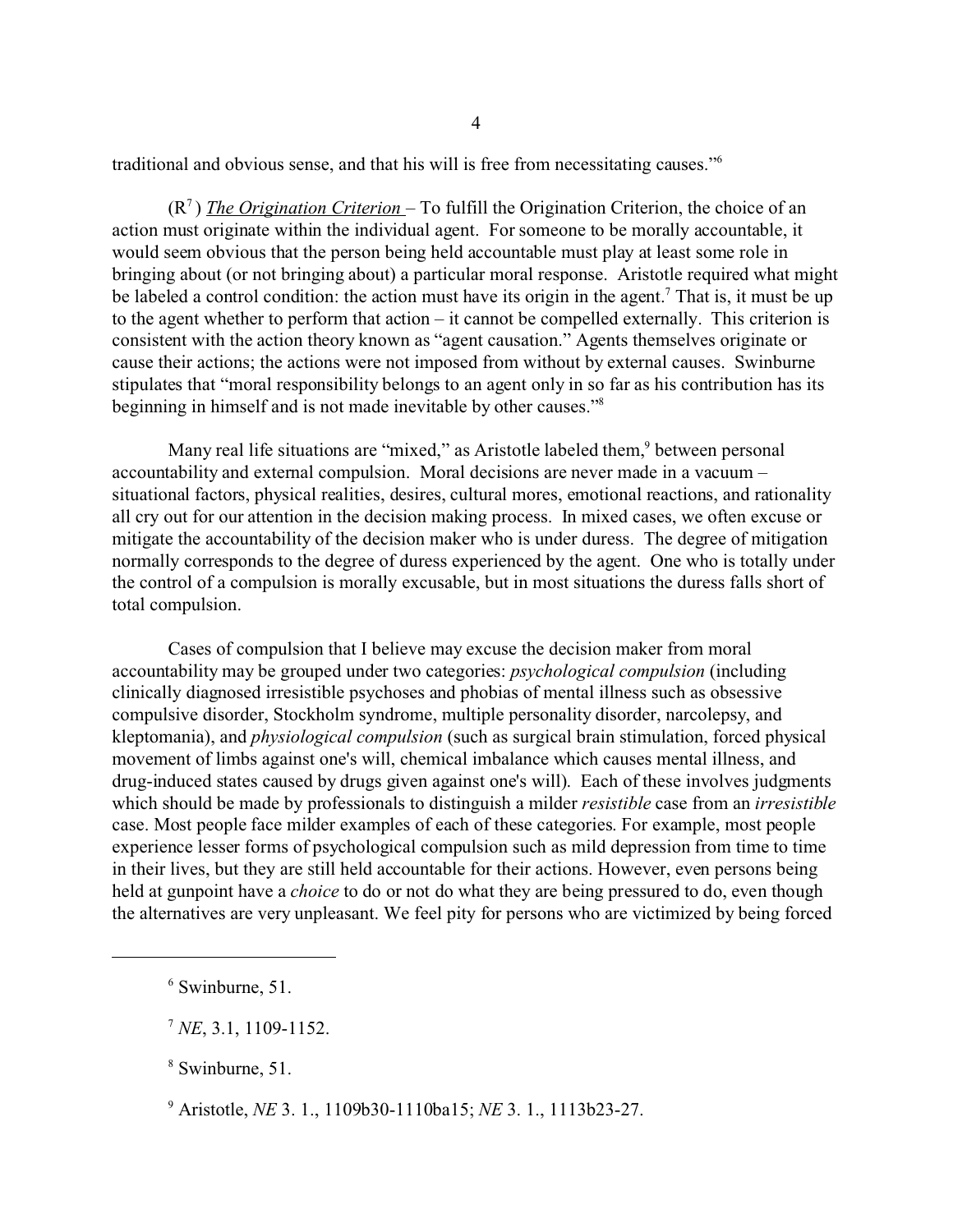traditional and obvious sense, and that his will is free from necessitating causes."<sup>6</sup>

(R<sup>7</sup>) *The Origination Criterion* – To fulfill the Origination Criterion, the choice of an action must originate within the individual agent. For someone to be morally accountable, it would seem obvious that the person being held accountable must play at least some role in bringing about (or not bringing about) a particular moral response. Aristotle required what might be labeled a control condition: the action must have its origin in the agent.<sup>7</sup> That is, it must be up to the agent whether to perform that action – it cannot be compelled externally. This criterion is consistent with the action theory known as "agent causation." Agents themselves originate or cause their actions; the actions were not imposed from without by external causes. Swinburne stipulates that "moral responsibility belongs to an agent only in so far as his contribution has its beginning in himself and is not made inevitable by other causes."<sup>8</sup>

Many real life situations are "mixed," as Aristotle labeled them,<sup>9</sup> between personal accountability and external compulsion. Moral decisions are never made in a vacuum – situational factors, physical realities, desires, cultural mores, emotional reactions, and rationality all cry out for our attention in the decision making process. In mixed cases, we often excuse or mitigate the accountability of the decision maker who is under duress. The degree of mitigation normally corresponds to the degree of duress experienced by the agent. One who is totally under the control of a compulsion is morally excusable, but in most situations the duress falls short of total compulsion.

Cases of compulsion that I believe may excuse the decision maker from moral accountability may be grouped under two categories: *psychological compulsion* (including clinically diagnosed irresistible psychoses and phobias of mental illness such as obsessive compulsive disorder, Stockholm syndrome, multiple personality disorder, narcolepsy, and kleptomania), and *physiological compulsion* (such as surgical brain stimulation, forced physical movement of limbs against one's will, chemical imbalance which causes mental illness, and drug-induced states caused by drugs given against one's will). Each of these involves judgments which should be made by professionals to distinguish a milder *resistible* case from an *irresistible* case. Most people face milder examples of each of these categories. For example, most people experience lesser forms of psychological compulsion such as mild depression from time to time in their lives, but they are still held accountable for their actions. However, even persons being held at gunpoint have a *choice* to do or not do what they are being pressured to do, even though the alternatives are very unpleasant. We feel pity for persons who are victimized by being forced

8 Swinburne, 51.

9 Aristotle, *NE* 3. 1., 1109b30-1110ba15; *NE* 3. 1., 1113b23-27.

<sup>6</sup> Swinburne, 51.

<sup>7</sup> *NE*, 3.1, 1109-1152.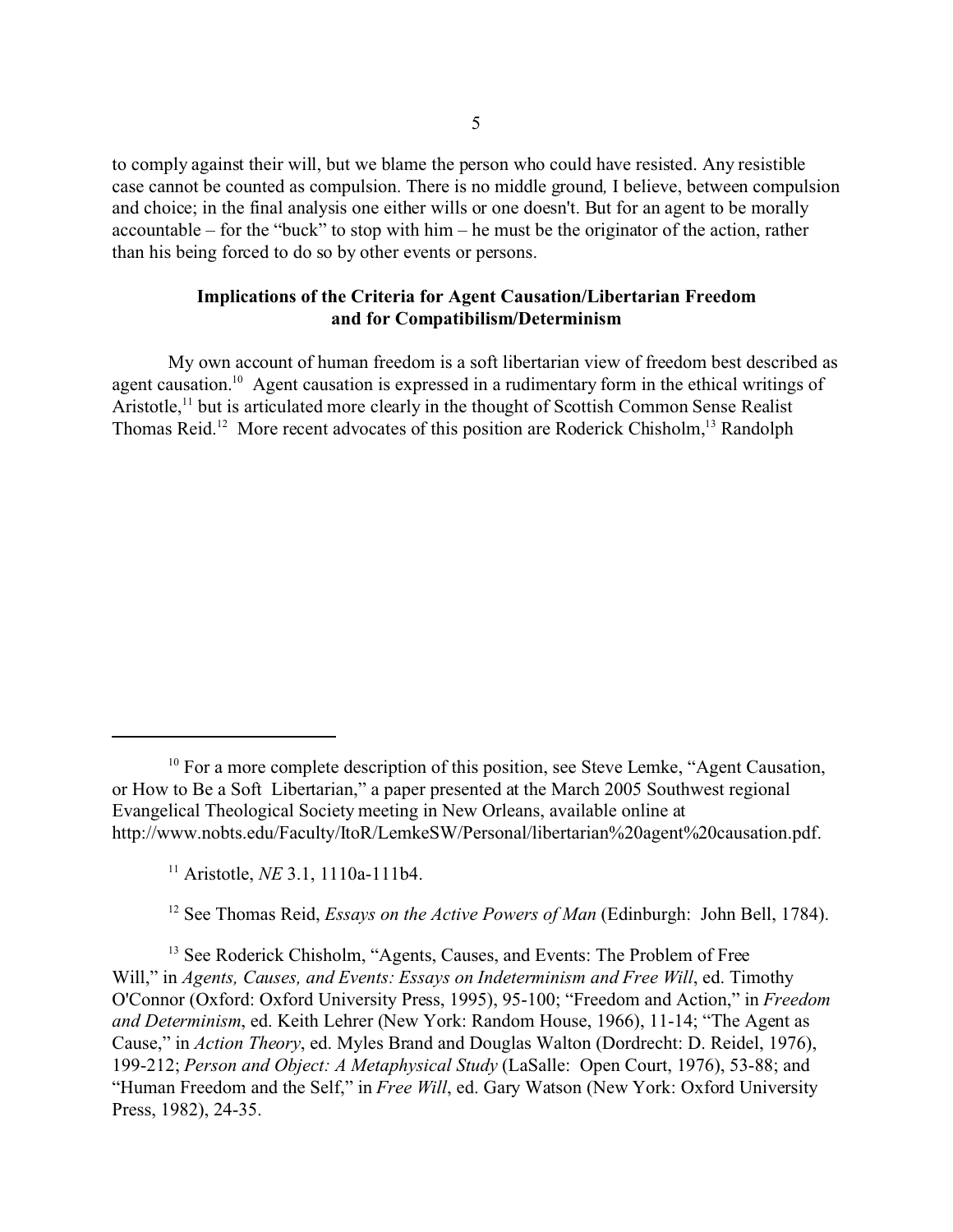to comply against their will, but we blame the person who could have resisted. Any resistible case cannot be counted as compulsion. There is no middle ground*,* I believe, between compulsion and choice; in the final analysis one either wills or one doesn't. But for an agent to be morally accountable – for the "buck" to stop with him – he must be the originator of the action, rather than his being forced to do so by other events or persons.

## **Implications of the Criteria for Agent Causation/Libertarian Freedom and for Compatibilism/Determinism**

My own account of human freedom is a soft libertarian view of freedom best described as agent causation.<sup>10</sup> Agent causation is expressed in a rudimentary form in the ethical writings of Aristotle,<sup>11</sup> but is articulated more clearly in the thought of Scottish Common Sense Realist Thomas Reid.<sup>12</sup> More recent advocates of this position are Roderick Chisholm,<sup>13</sup> Randolph

<sup>&</sup>lt;sup>10</sup> For a more complete description of this position, see Steve Lemke, "Agent Causation, or How to Be a Soft Libertarian," a paper presented at the March 2005 Southwest regional Evangelical Theological Society meeting in New Orleans, available online at http://www.nobts.edu/Faculty/ItoR/LemkeSW/Personal/libertarian%20agent%20causation.pdf.

<sup>11</sup> Aristotle, *NE* 3.1, 1110a-111b4.

<sup>&</sup>lt;sup>12</sup> See Thomas Reid, *Essays on the Active Powers of Man* (Edinburgh: John Bell, 1784).

<sup>&</sup>lt;sup>13</sup> See Roderick Chisholm, "Agents, Causes, and Events: The Problem of Free Will," in *Agents, Causes, and Events: Essays on Indeterminism and Free Will, ed. Timothy* O'Connor (Oxford: Oxford University Press, 1995), 95-100; "Freedom and Action," in *Freedom and Determinism*, ed. Keith Lehrer (New York: Random House, 1966), 11-14; "The Agent as Cause," in *Action Theory*, ed. Myles Brand and Douglas Walton (Dordrecht: D. Reidel, 1976), 199-212; *Person and Object: A Metaphysical Study* (LaSalle: Open Court, 1976), 53-88; and "Human Freedom and the Self," in *Free Will*, ed. Gary Watson (New York: Oxford University Press, 1982), 24-35.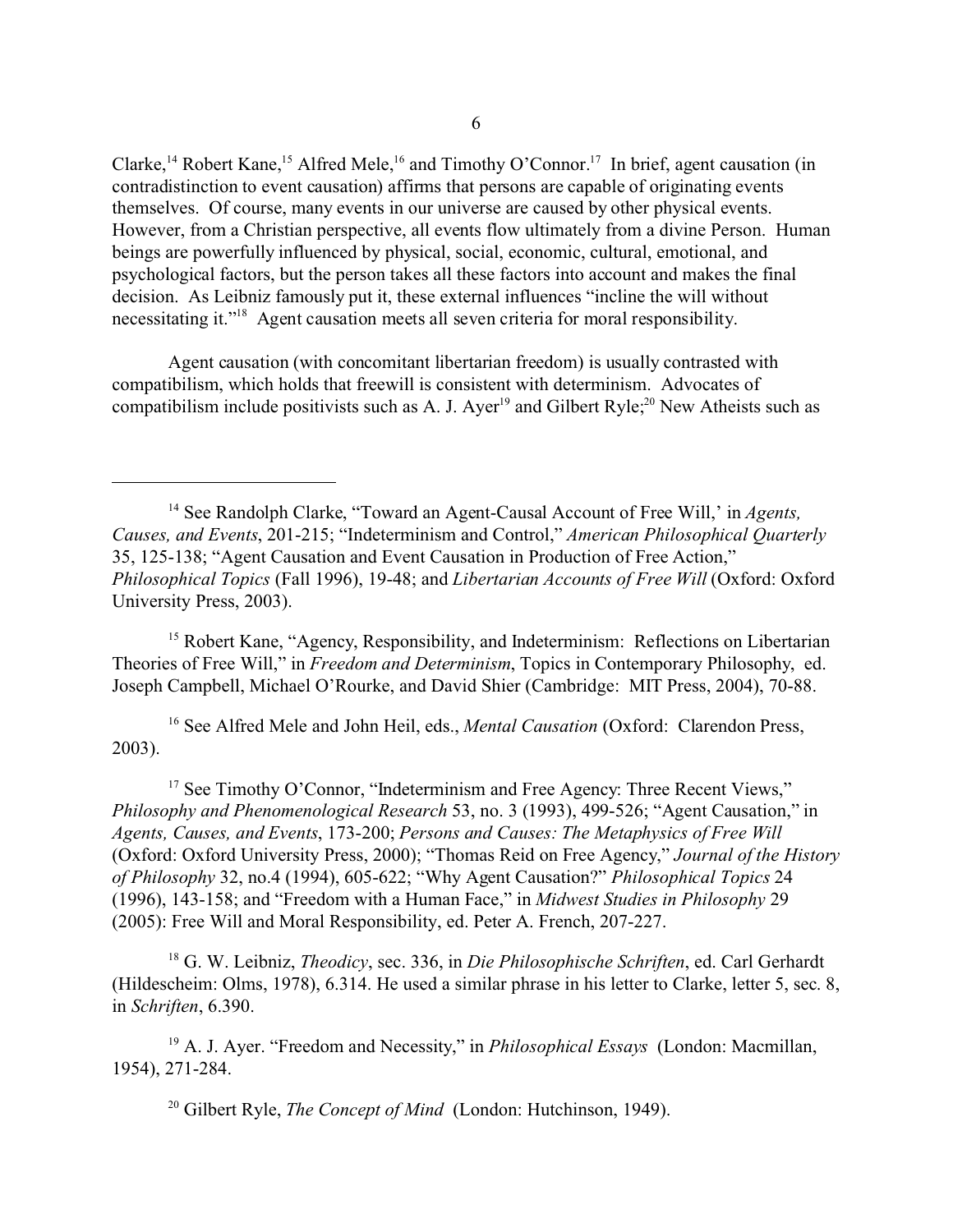Clarke,<sup>14</sup> Robert Kane,<sup>15</sup> Alfred Mele,<sup>16</sup> and Timothy O'Connor.<sup>17</sup> In brief, agent causation (in contradistinction to event causation) affirms that persons are capable of originating events themselves. Of course, many events in our universe are caused by other physical events. However, from a Christian perspective, all events flow ultimately from a divine Person. Human beings are powerfully influenced by physical, social, economic, cultural, emotional, and psychological factors, but the person takes all these factors into account and makes the final decision. As Leibniz famously put it, these external influences "incline the will without necessitating it."<sup>18</sup> Agent causation meets all seven criteria for moral responsibility.

Agent causation (with concomitant libertarian freedom) is usually contrasted with compatibilism, which holds that freewill is consistent with determinism. Advocates of compatibilism include positivists such as A. J. Ayer<sup>19</sup> and Gilbert Ryle;<sup>20</sup> New Atheists such as

<sup>15</sup> Robert Kane, "Agency, Responsibility, and Indeterminism: Reflections on Libertarian Theories of Free Will," in *Freedom and Determinism*, Topics in Contemporary Philosophy, ed. Joseph Campbell, Michael O'Rourke, and David Shier (Cambridge: MIT Press, 2004), 70-88.

<sup>16</sup> See Alfred Mele and John Heil, eds., *Mental Causation* (Oxford: Clarendon Press, 2003).

<sup>17</sup> See Timothy O'Connor, "Indeterminism and Free Agency: Three Recent Views," *Philosophy and Phenomenological Research* 53, no. 3 (1993), 499-526; "Agent Causation," in *Agents, Causes, and Events*, 173-200; *Persons and Causes: The Metaphysics of Free Will* (Oxford: Oxford University Press, 2000); "Thomas Reid on Free Agency," *Journal of the History of Philosophy* 32, no.4 (1994), 605-622; "Why Agent Causation?" *Philosophical Topics* 24 (1996), 143-158; and "Freedom with a Human Face," in *Midwest Studies in Philosophy* 29 (2005): Free Will and Moral Responsibility, ed. Peter A. French, 207-227.

<sup>18</sup> G. W. Leibniz, *Theodicy*, sec. 336, in *Die Philosophische Schriften*, ed. Carl Gerhardt (Hildescheim: Olms, 1978), 6.314. He used a similar phrase in his letter to Clarke, letter 5, sec. 8, in *Schriften*, 6.390.

<sup>19</sup> A. J. Ayer. "Freedom and Necessity," in *Philosophical Essays* (London: Macmillan, 1954), 271-284.

<sup>20</sup> Gilbert Ryle, *The Concept of Mind* (London: Hutchinson, 1949).

<sup>14</sup> See Randolph Clarke, "Toward an Agent-Causal Account of Free Will,' in *Agents, Causes, and Events*, 201-215; "Indeterminism and Control," *American Philosophical Quarterly* 35, 125-138; "Agent Causation and Event Causation in Production of Free Action," *Philosophical Topics* (Fall 1996), 19-48; and *Libertarian Accounts of Free Will* (Oxford: Oxford University Press, 2003).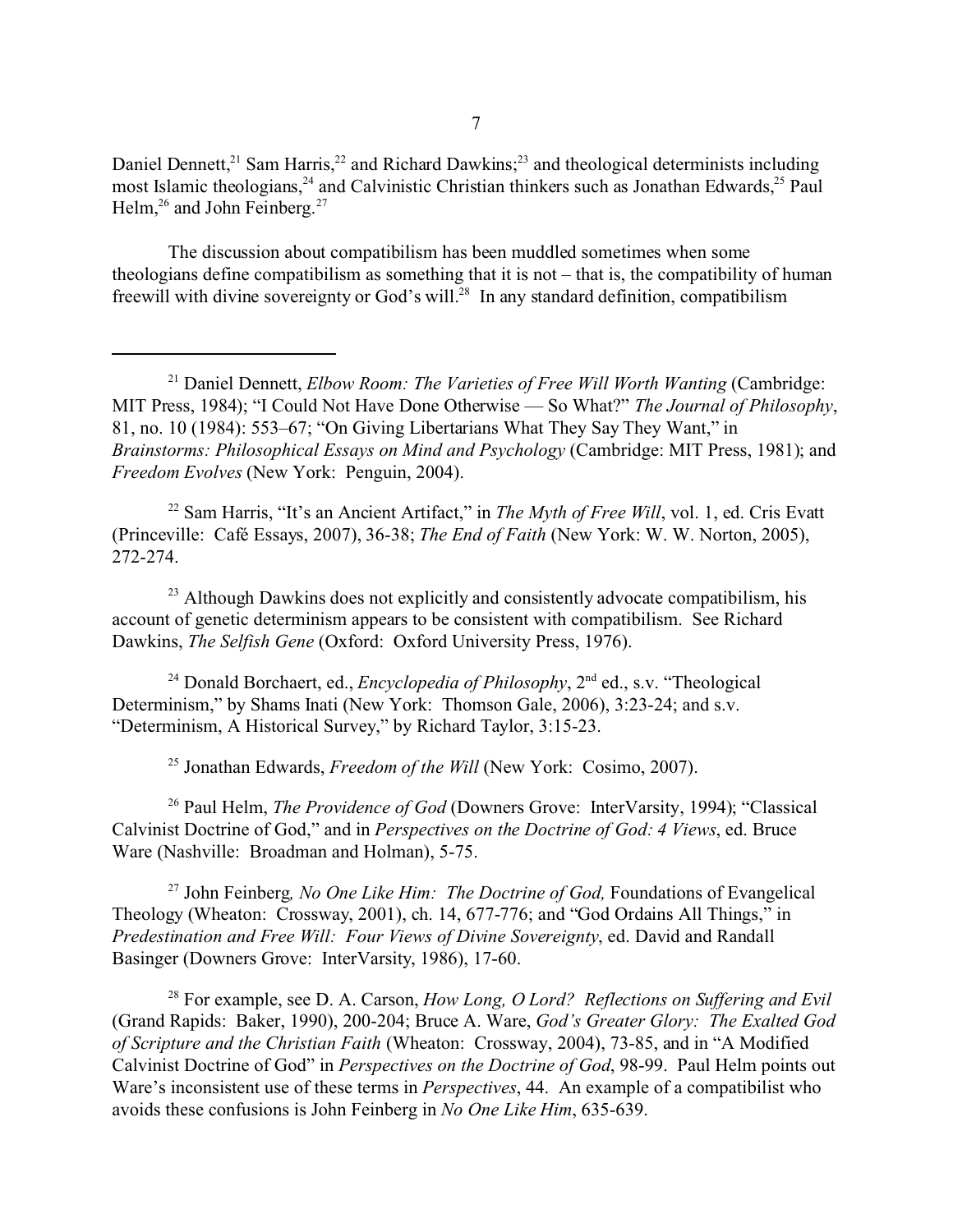Daniel Dennett, $21$  Sam Harris, $22$  and Richard Dawkins; $23$  and theological determinists including most Islamic theologians,<sup>24</sup> and Calvinistic Christian thinkers such as Jonathan Edwards,<sup>25</sup> Paul Helm, $^{26}$  and John Feinberg.<sup>27</sup>

The discussion about compatibilism has been muddled sometimes when some theologians define compatibilism as something that it is not – that is, the compatibility of human freewill with divine sovereignty or God's will.<sup>28</sup> In any standard definition, compatibilism

<sup>22</sup> Sam Harris, "It's an Ancient Artifact," in *The Myth of Free Will*, vol. 1, ed. Cris Evatt (Princeville: Café Essays, 2007), 36-38; *The End of Faith* (New York: W. W. Norton, 2005), 272-274.

 $23$  Although Dawkins does not explicitly and consistently advocate compatibilism, his account of genetic determinism appears to be consistent with compatibilism. See Richard Dawkins, *The Selfish Gene* (Oxford: Oxford University Press, 1976).

<sup>24</sup> Donald Borchaert, ed., *Encyclopedia of Philosophy*, 2<sup>nd</sup> ed., s.v. "Theological Determinism," by Shams Inati (New York: Thomson Gale, 2006), 3:23-24; and s.v. "Determinism, A Historical Survey," by Richard Taylor, 3:15-23.

<sup>25</sup> Jonathan Edwards, *Freedom of the Will* (New York: Cosimo, 2007).

<sup>26</sup> Paul Helm, *The Providence of God* (Downers Grove: InterVarsity, 1994); "Classical Calvinist Doctrine of God," and in *Perspectives on the Doctrine of God: 4 Views*, ed. Bruce Ware (Nashville: Broadman and Holman), 5-75.

<sup>27</sup> John Feinberg*, No One Like Him: The Doctrine of God,* Foundations of Evangelical Theology (Wheaton: Crossway, 2001), ch. 14, 677-776; and "God Ordains All Things," in *Predestination and Free Will: Four Views of Divine Sovereignty*, ed. David and Randall Basinger (Downers Grove: InterVarsity, 1986), 17-60.

<sup>28</sup> For example, see D. A. Carson, *How Long, O Lord? Reflections on Suffering and Evil* (Grand Rapids: Baker, 1990), 200-204; Bruce A. Ware, *God's Greater Glory: The Exalted God of Scripture and the Christian Faith* (Wheaton: Crossway, 2004), 73-85, and in "A Modified Calvinist Doctrine of God" in *Perspectives on the Doctrine of God*, 98-99. Paul Helm points out Ware's inconsistent use of these terms in *Perspectives*, 44. An example of a compatibilist who avoids these confusions is John Feinberg in *No One Like Him*, 635-639.

<sup>21</sup> Daniel Dennett, *Elbow Room: The Varieties of Free Will Worth Wanting* (Cambridge: MIT Press, 1984); "I Could Not Have Done Otherwise — So What?" *The Journal of Philosophy*, 81, no. 10 (1984): 553–67; "On Giving Libertarians What They Say They Want," in *Brainstorms: Philosophical Essays on Mind and Psychology* (Cambridge: MIT Press, 1981); and *Freedom Evolves* (New York: Penguin, 2004).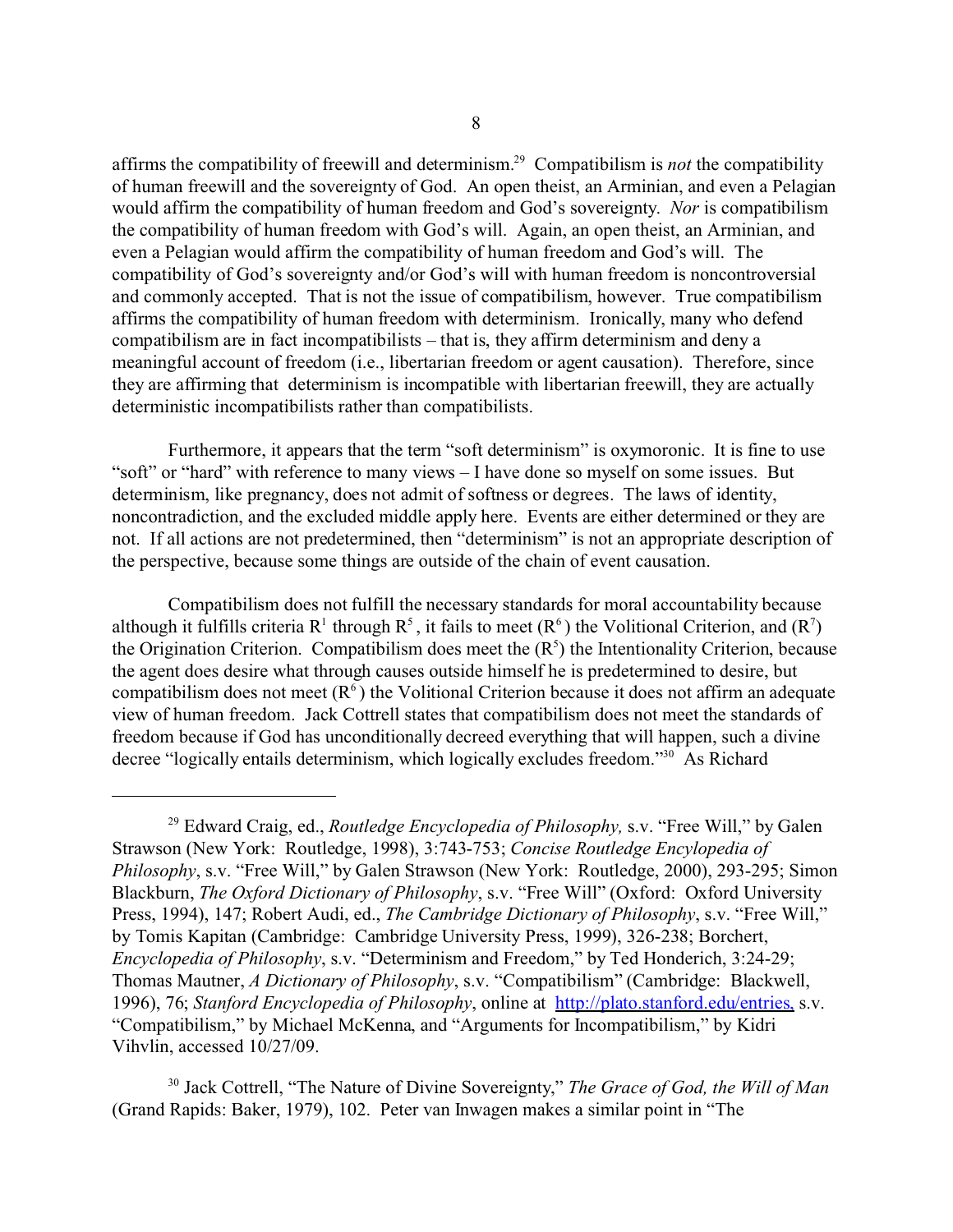affirms the compatibility of freewill and determinism.<sup>29</sup> Compatibilism is *not* the compatibility of human freewill and the sovereignty of God. An open theist, an Arminian, and even a Pelagian would affirm the compatibility of human freedom and God's sovereignty. *Nor* is compatibilism the compatibility of human freedom with God's will. Again, an open theist, an Arminian, and even a Pelagian would affirm the compatibility of human freedom and God's will. The compatibility of God's sovereignty and/or God's will with human freedom is noncontroversial and commonly accepted. That is not the issue of compatibilism, however. True compatibilism affirms the compatibility of human freedom with determinism. Ironically, many who defend compatibilism are in fact incompatibilists – that is, they affirm determinism and deny a meaningful account of freedom (i.e., libertarian freedom or agent causation). Therefore, since they are affirming that determinism is incompatible with libertarian freewill, they are actually deterministic incompatibilists rather than compatibilists.

Furthermore, it appears that the term "soft determinism" is oxymoronic. It is fine to use "soft" or "hard" with reference to many views – I have done so myself on some issues. But determinism, like pregnancy, does not admit of softness or degrees. The laws of identity, noncontradiction, and the excluded middle apply here. Events are either determined or they are not. If all actions are not predetermined, then "determinism" is not an appropriate description of the perspective, because some things are outside of the chain of event causation.

Compatibilism does not fulfill the necessary standards for moral accountability because although it fulfills criteria R<sup>1</sup> through R<sup>5</sup>, it fails to meet (R<sup>6</sup>) the Volitional Criterion, and (R<sup>7</sup>) the Origination Criterion. Compatibilism does meet the  $(R<sup>5</sup>)$  the Intentionality Criterion, because the agent does desire what through causes outside himself he is predetermined to desire, but compatibilism does not meet  $(R<sup>6</sup>)$  the Volitional Criterion because it does not affirm an adequate view of human freedom. Jack Cottrell states that compatibilism does not meet the standards of freedom because if God has unconditionally decreed everything that will happen, such a divine decree "logically entails determinism, which logically excludes freedom."30 As Richard

<sup>29</sup> Edward Craig, ed., *Routledge Encyclopedia of Philosophy,* s.v. "Free Will," by Galen Strawson (New York: Routledge, 1998), 3:743-753; *Concise Routledge Encylopedia of Philosophy*, s.v. "Free Will," by Galen Strawson (New York: Routledge, 2000), 293-295; Simon Blackburn, *The Oxford Dictionary of Philosophy*, s.v. "Free Will" (Oxford: Oxford University Press, 1994), 147; Robert Audi, ed., *The Cambridge Dictionary of Philosophy*, s.v. "Free Will," by Tomis Kapitan (Cambridge: Cambridge University Press, 1999), 326-238; Borchert, *Encyclopedia of Philosophy*, s.v. "Determinism and Freedom," by Ted Honderich, 3:24-29; Thomas Mautner, *A Dictionary of Philosophy*, s.v. "Compatibilism" (Cambridge: Blackwell, 1996), 76; *Stanford Encyclopedia of Philosophy*, online at <http://plato.stanford.edu/entries,> s.v. "Compatibilism," by Michael McKenna, and "Arguments for Incompatibilism," by Kidri Vihvlin, accessed 10/27/09.

<sup>30</sup> Jack Cottrell, "The Nature of Divine Sovereignty," *The Grace of God, the Will of Man* (Grand Rapids: Baker, 1979), 102. Peter van Inwagen makes a similar point in "The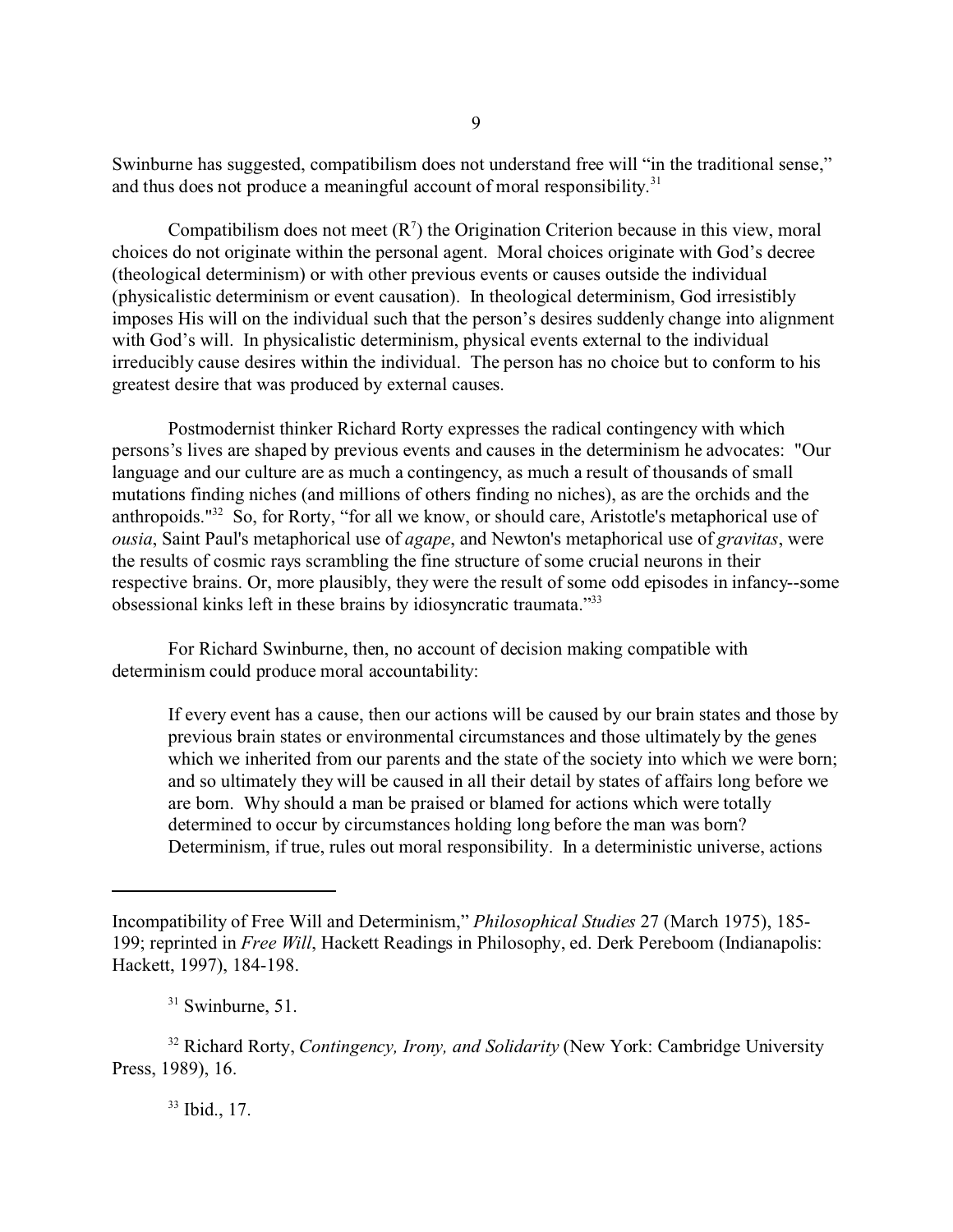Swinburne has suggested, compatibilism does not understand free will "in the traditional sense," and thus does not produce a meaningful account of moral responsibility.<sup>31</sup>

Compatibilism does not meet  $(R<sup>7</sup>)$  the Origination Criterion because in this view, moral choices do not originate within the personal agent. Moral choices originate with God's decree (theological determinism) or with other previous events or causes outside the individual (physicalistic determinism or event causation). In theological determinism, God irresistibly imposes His will on the individual such that the person's desires suddenly change into alignment with God's will. In physicalistic determinism, physical events external to the individual irreducibly cause desires within the individual. The person has no choice but to conform to his greatest desire that was produced by external causes.

Postmodernist thinker Richard Rorty expresses the radical contingency with which persons's lives are shaped by previous events and causes in the determinism he advocates: "Our language and our culture are as much a contingency, as much a result of thousands of small mutations finding niches (and millions of others finding no niches), as are the orchids and the anthropoids."<sup>32</sup> So, for Rorty, "for all we know, or should care, Aristotle's metaphorical use of *ousia*, Saint Paul's metaphorical use of *agape*, and Newton's metaphorical use of *gravitas*, were the results of cosmic rays scrambling the fine structure of some crucial neurons in their respective brains. Or, more plausibly, they were the result of some odd episodes in infancy--some obsessional kinks left in these brains by idiosyncratic traumata."<sup>33</sup>

For Richard Swinburne, then, no account of decision making compatible with determinism could produce moral accountability:

If every event has a cause, then our actions will be caused by our brain states and those by previous brain states or environmental circumstances and those ultimately by the genes which we inherited from our parents and the state of the society into which we were born; and so ultimately they will be caused in all their detail by states of affairs long before we are born. Why should a man be praised or blamed for actions which were totally determined to occur by circumstances holding long before the man was born? Determinism, if true, rules out moral responsibility. In a deterministic universe, actions

Incompatibility of Free Will and Determinism," *Philosophical Studies* 27 (March 1975), 185- 199; reprinted in *Free Will*, Hackett Readings in Philosophy, ed. Derk Pereboom (Indianapolis: Hackett, 1997), 184-198.

 $31$  Swinburne, 51.

<sup>32</sup> Richard Rorty, *Contingency, Irony, and Solidarity* (New York: Cambridge University Press, 1989), 16.